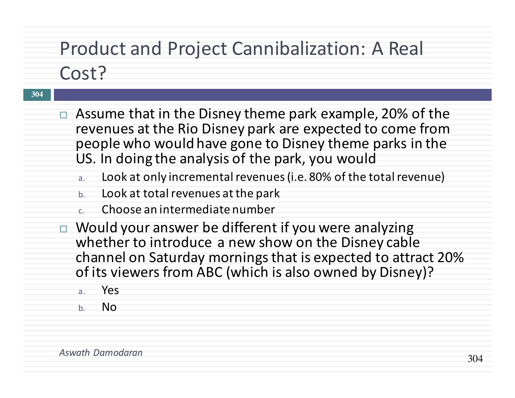## Product and Project Cannibalization: A Real

#### Cost?

**304**

#### $\Box$  Assume that in the Disney theme park example, 20% of the revenues at the Rio Disney park are expected to come from people who would have gone to Disney theme parks in the US. In doing the analysis of the park, you would

- a. Look at only incremental revenues (i.e. 80% of the total revenue)
- b. Look at total revenues at the park
- Choose an intermediate number
- Would your answer be different if you were analyzing whether to introduce a new show on the Disney cable channel on Saturday mornings that is expected to attract 20% of its viewers from ABC (which is also owned by Disney)?
	- a. Yes
	- b. No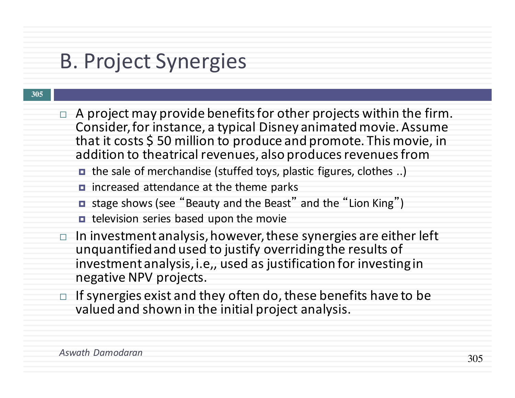### **B. Project Synergies**

- $\Box$  A project may provide benefits for other projects within the firm. Consider, for instance, a typical Disney animated movie. Assume that it costs  $$50$  million to produce and promote. This movie, in addition to theatrical revenues, also produces revenues from
	- the sale of merchandise (stuffed toys, plastic figures, clothes ..)
	- $\blacksquare$  increased attendance at the theme parks
	- **□** stage shows (see "Beauty and the Beast" and the "Lion King")
	- $\blacksquare$  television series based upon the movie
- $\Box$  In investment analysis, however, these synergies are either left unquantified and used to justify overriding the results of investment analysis, i.e,, used as justification for investing in negative NPV projects.
- $\Box$  If synergies exist and they often do, these benefits have to be valued and shown in the initial project analysis.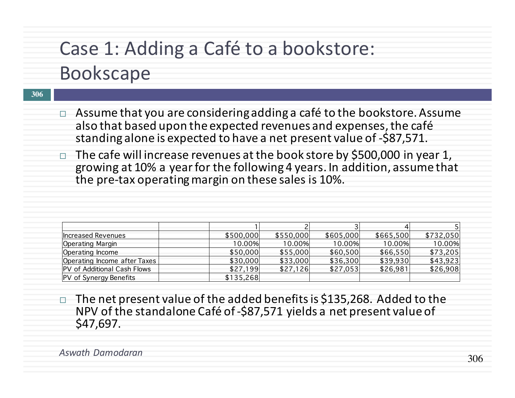# Case 1: Adding a Café to a bookstore:

#### Bookscape

#### **306**

- $\Box$  Assume that you are considering adding a café to the bookstore. Assume also that based upon the expected revenues and expenses, the café standing alone is expected to have a net present value of -\$87,571.
- The cafe will increase revenues at the book store by \$500,000 in year 1, growing at 10% a year for the following 4 years. In addition, assume that the pre-tax operating margin on these sales is 10%.

| Increased Revenues                 | \$500,000 | \$550,000 | \$605,000 | \$665,500 | \$732,050 |
|------------------------------------|-----------|-----------|-----------|-----------|-----------|
| Operating Margin                   | 10.00%    | 10.00%    | 10.00%    | 10.00%    | 10.00%    |
| Operating Income                   | \$50,000  | \$55,000  | \$60,500  | \$66,550  | \$73,205  |
| Operating Income after Taxes       | \$30,000  | \$33,000  | \$36,300  | \$39,930  | \$43,923  |
| <b>PV</b> of Additional Cash Flows | \$27,199  | \$27,126  | \$27,053  | \$26,981  | \$26,908  |
| <b>PV</b> of Synergy Benefits      | \$135,268 |           |           |           |           |

 $\Box$  The net present value of the added benefits is \$135,268. Added to the NPV of the standalone Café of -\$87,571 yields a net present value of \$47,697.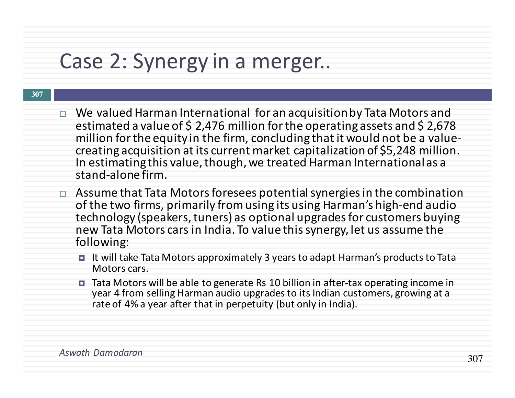### Case 2: Synergy in a merger...

- $\Box$  We valued Harman International for an acquisition by Tata Motors and estimated a value of \$ 2,476 million for the operating assets and \$ 2,678<br>million for the equity in the firm, concluding that it would not be a valuecreating acquisition at its current market capitalization of \$5,248 million. In estimating this value, though, we treated Harman International as a stand-alone firm.
- Assume that Tata Motors foresees potential synergies in the combination of the two firms, primarily from using its using Harman's high-end audio technology (speakers, tuners) as optional upgrades for customers buying new Tata Motors cars in India. To value this synergy, let us assume the following:
	- It will take Tata Motors approximately 3 years to adapt Harman's products to Tata Motors cars.
	- $\blacksquare$  Tata Motors will be able to generate Rs 10 billion in after-tax operating income in year 4 from selling Harman audio upgrades to its Indian customers, growing at a rate of 4% a year after that in perpetuity (but only in India).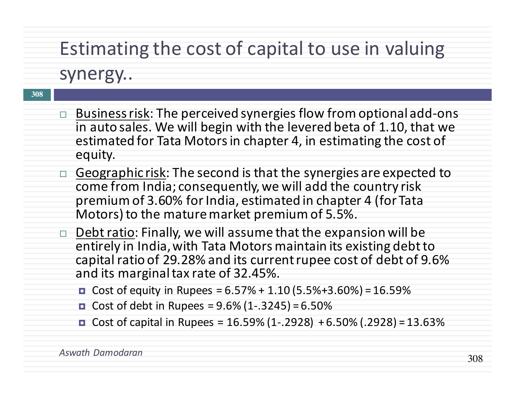#### Estimating the cost of capital to use in valuing

#### synergy..

- Business risk: The perceived synergies flow from optional add-ons in auto sales. We will begin with the levered beta of 1.10, that we estimated for Tata Motors in chapter 4, in estimating the cost of equity.
- Geographic risk: The second is that the synergies are expected to come from India; consequently, we will add the country risk premium of 3.60% for India, estimated in chapter 4 (for Tata Motors) to the mature market premium of 5.5%.
- $\Box$  Debt ratio: Finally, we will assume that the expansion will be entirely in India, with Tata Motors maintain its existing debt to capital ratio of 29.28% and its current rupee cost of debt of 9.6% and its marginal tax rate of 32.45%.
	- Cost of equity in Rupees =  $6.57% + 1.10(5.5% + 3.60%) = 16.59%$
	- □ Cost of debt in Rupees =  $9.6\%$  (1-.3245) =  $6.50\%$
	- Cost of capital in Rupees =  $16.59\%$  (1-.2928) + 6.50% (.2928) = 13.63%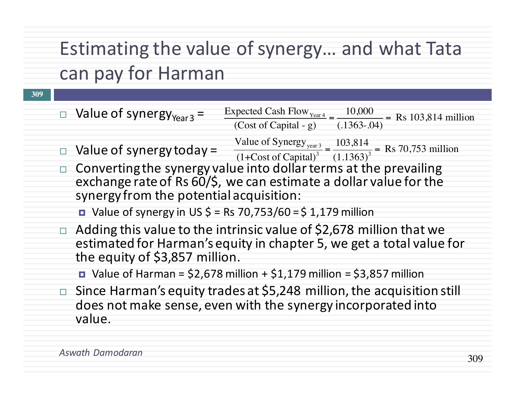### Estimating the value of synergy... and what Tata can pay for Harman

#### $\Box$  Value of synergy<sub>Year 3</sub> =  $\Box$  Value of synergy today =  $\Box$  Converting the synergy value into dollar terms at the prevailing exchange rate of Rs  $60/5$ , we can estimate a dollar value for the synergy from the potential acquisition: ■ Value of synergy in US  $\frac{1}{5}$  = Rs 70,753/60 =  $\frac{1}{5}$  1,179 million Adding this value to the intrinsic value of \$2,678 million that we estimated for Harman's equity in chapter 5, we get a total value for the equity of \$3,857 million. ■ Value of Harman =  $$2,678$  million +  $$1,179$  million =  $$3,857$  million Since Harman's equity trades at \$5,248 million, the acquisition still does not make sense, even with the synergy incorporated into value. Expected Cash Flow<sub>Year 4</sub> =  $\frac{10,000}{(.1363-.0)}$  $(Cost of Capital - g)$   $(0.1363 - 04)$ = Rs 103,814 million Value of Synergy<sub>year 3</sub> (1+Cost of Capital)  $\frac{x^3}{3} = \frac{103,814}{(1.1363)^3}$ (1.1363)  $\frac{1}{3}$  = Rs 70,753 million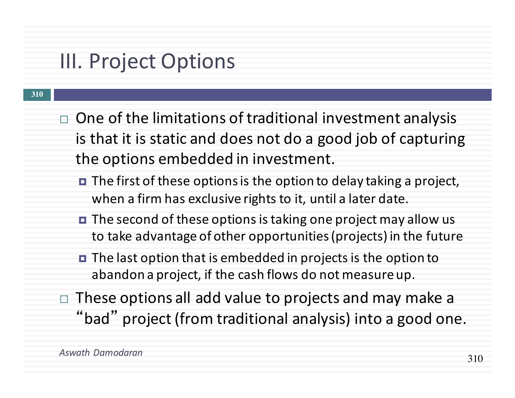#### III. Project Options

- $\Box$  One of the limitations of traditional investment analysis is that it is static and does not do a good job of capturing the options embedded in investment.
	- $\blacksquare$  The first of these options is the option to delay taking a project, when a firm has exclusive rights to it, until a later date.
	- The second of these options is taking one project may allow us to take advantage of other opportunities (projects) in the future
	- $\blacksquare$  The last option that is embedded in projects is the option to abandon a project, if the cash flows do not measure up.
- These options all add value to projects and may make a "bad" project (from traditional analysis) into a good one.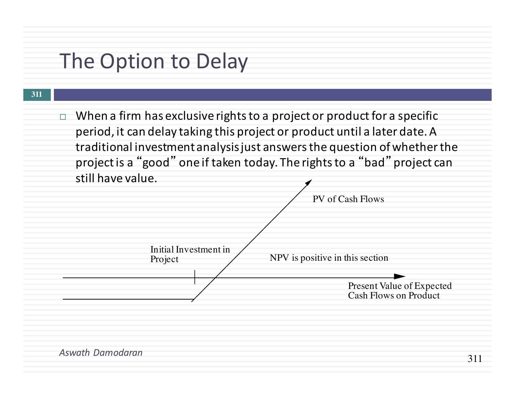### The Option to Delay

- **311**
- $\Box$  When a firm has exclusive rights to a project or product for a specific period, it can delay taking this project or product until a later date. A traditional investment analysis just answers the question of whether the project is a "good" one if taken today. The rights to a "bad" project can still have value.

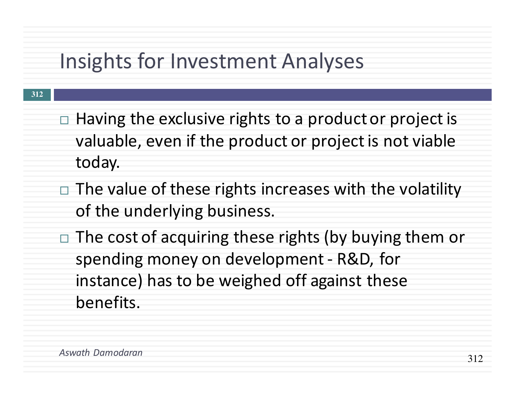### Insights for Investment Analyses

- **312**
- $\Box$  Having the exclusive rights to a product or project is valuable, even if the product or project is not viable today.
- $\Box$  The value of these rights increases with the volatility of the underlying business.
- $\Box$  The cost of acquiring these rights (by buying them or spending money on development - R&D, for instance) has to be weighed off against these benefits.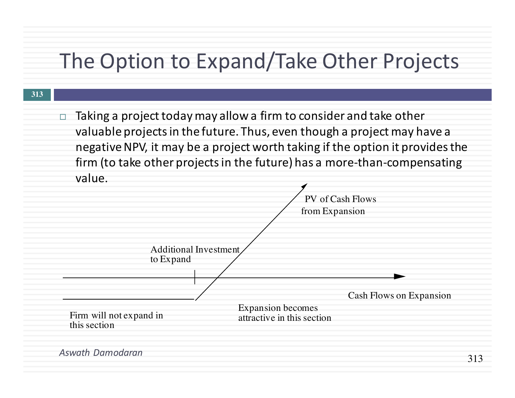### The Option to Expand/Take Other Projects

**313**

 $\Box$  Taking a project today may allow a firm to consider and take other valuable projects in the future. Thus, even though a project may have a negative NPV, it may be a project worth taking if the option it provides the firm (to take other projects in the future) has a more-than-compensating value.

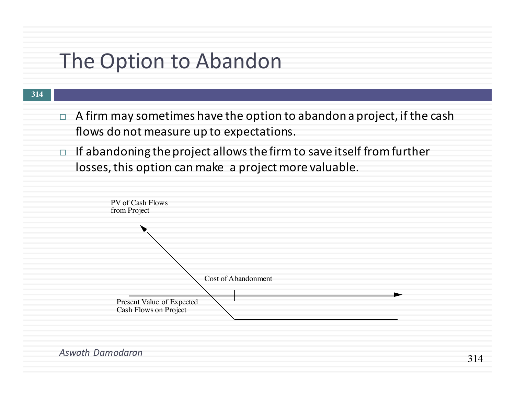### The Option to Abandon

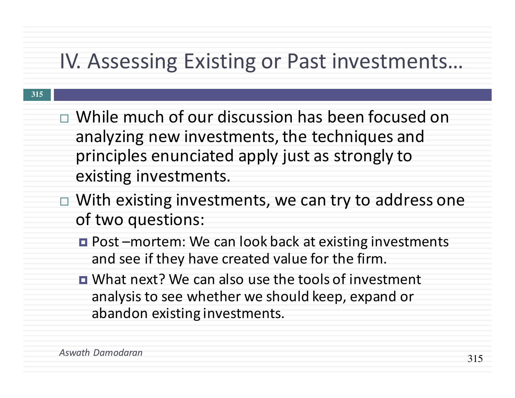### IV. Assessing Existing or Past investments...

- $\Box$  While much of our discussion has been focused on analyzing new investments, the techniques and principles enunciated apply just as strongly to existing investments.
- $\Box$  With existing investments, we can try to address one of two questions:
	- **□** Post –mortem: We can look back at existing investments and see if they have created value for the firm.
	- **□** What next? We can also use the tools of investment analysis to see whether we should keep, expand or abandon existing investments.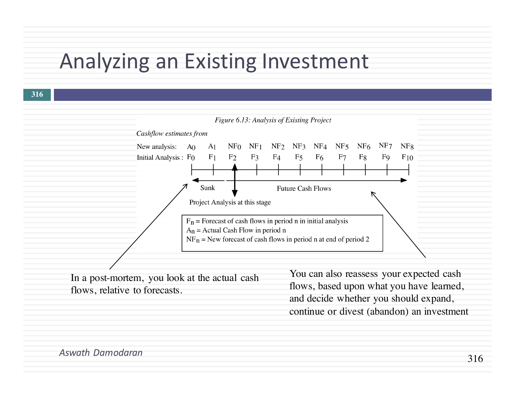#### Analyzing an Existing Investment



In a post-mortem, you look at the actual cash flows, relative to forecasts.

You can also reassess your expected cash flows, based upon what you have learned, and decide whether you should expand, continue or divest (abandon) an investment

#### *Aswath Damodaran*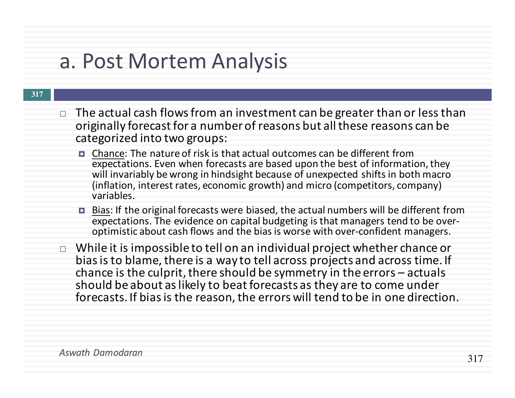### a. Post Mortem Analysis

- $\Box$  The actual cash flows from an investment can be greater than or less than originally forecast for a number of reasons but all these reasons can be categorized into two groups:
	- Chance: The nature of risk is that actual outcomes can be different from expectations. Even when forecasts are based upon the best of information, they will invariably be wrong in hindsight because of unexpected shifts in both macro (inflation, interest rates, economic growth) and micro (competitors, company) variables.
	- Bias: If the original forecasts were biased, the actual numbers will be different from expectations. The evidence on capital budgeting is that managers tend to be over-<br>optimistic about cash flows and the bias is worse with over-confident managers.
- $\Box$  While it is impossible to tell on an individual project whether chance or bias is to blame, there is a way to tell across projects and across time. If chance is the culprit, there should be symmetry in the errors  $-$  actuals should be about as likely to beat forecasts as they are to come under forecasts. If bias is the reason, the errors will tend to be in one direction.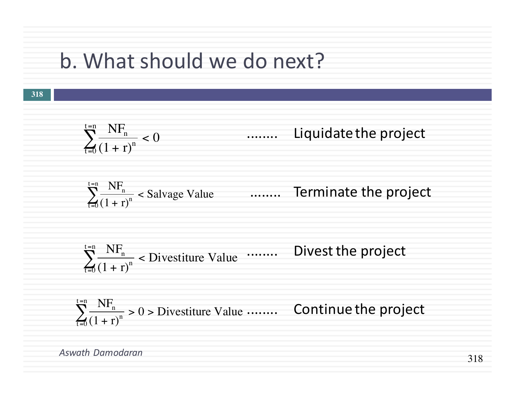### b. What should we do next?

$$
\sum_{t=0}^{t=n} \frac{NF_n}{(1+r)^n} < 0
$$
 ....... Laplace transform  
\n
$$
\sum_{t=0}^{t=n} \frac{NF_n}{(1+r)^n} < \text{Saluage Value}
$$
 ....... Ferminate the project  
\n
$$
\sum_{t=0}^{t=n} \frac{NF_n}{(1+r)^n} < \text{Divestimate Value}
$$
 ....... Divest the project  
\n
$$
\sum_{t=0}^{t=n} \frac{NF_n}{(1+r)^n} > 0 > \text{Divestimate Value}
$$
 ....... Continue the project

*Aswath Damodaran*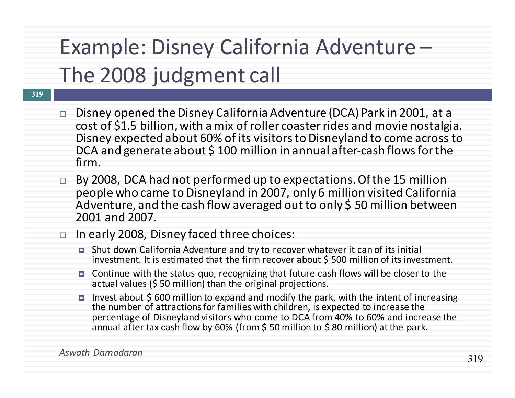# Example: Disney California Adventure -The 2008 judgment call

- **319**
- $\Box$  Disney opened the Disney California Adventure (DCA) Park in 2001, at a cost of \$1.5 billion, with a mix of roller coaster rides and movie nostalgia. Disney expected about 60% of its visitors to Disneyland to come across to DCA and generate about \$100 million in annual after-cash flows for the firm.
- By 2008, DCA had not performed up to expectations. Of the 15 million people who came to Disneyland in 2007, only 6 million visited California Adventure, and the cash flow averaged out to only \$50 million between 2001 and 2007.

In early 2008, Disney faced three choices:

- $\blacksquare$  Shut down California Adventure and try to recover whatever it can of its initial investment. It is estimated that the firm recover about \$ 500 million of its investment.
- $\blacksquare$  Continue with the status quo, recognizing that future cash flows will be closer to the actual values (\$50 million) than the original projections.
- $\blacksquare$  Invest about \$ 600 million to expand and modify the park, with the intent of increasing the number of attractions for families with children, is expected to increase the percentage of Disneyland visitors who come to DCA from 40% to 60% and increase the annual after tax cash flow by 60% (from  $\frac{1}{2}$  50 million to  $\frac{1}{2}$  80 million) at the park.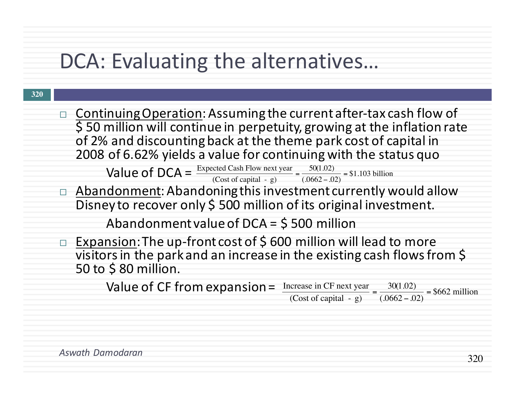## DCA: Evaluating the alternatives...

| 320 |                                                                                                                                                                                                                                                                                                          |
|-----|----------------------------------------------------------------------------------------------------------------------------------------------------------------------------------------------------------------------------------------------------------------------------------------------------------|
|     |                                                                                                                                                                                                                                                                                                          |
|     | $\Box$ Continuing Operation: Assuming the current after-tax cash flow of<br>$\overline{\xi}$ 50 million will continue in perpetuity, growing at the inflation rate<br>of 2% and discounting back at the theme park cost of capital in<br>2008 of 6.62% yields a value for continuing with the status quo |
|     | <b>Value of DCA</b> = $\frac{\text{Expected Cash Flow next year}}{\text{(Cost of capital - g)}} = \frac{50(1.02)}{(0.0662 - 0.02)} = $1.103 \text{ billion}$                                                                                                                                             |
|     | $\Box$ Abandonment: Abandoning this investment currently would allow<br>Disney to recover only \$500 million of its original investment.                                                                                                                                                                 |
|     | Abandonment value of $DCA = $500$ million                                                                                                                                                                                                                                                                |
|     | $\Box$ Expansion: The up-front cost of \$600 million will lead to more<br>visitors in the park and an increase in the existing cash flows from \$<br>50 to \$80 million.                                                                                                                                 |
|     | Increase in CF next year $=$ $\frac{30(1.02)}{(0.0662 - 0.02)}$ = \$662 million<br>Value of CF from expansion =                                                                                                                                                                                          |
|     |                                                                                                                                                                                                                                                                                                          |